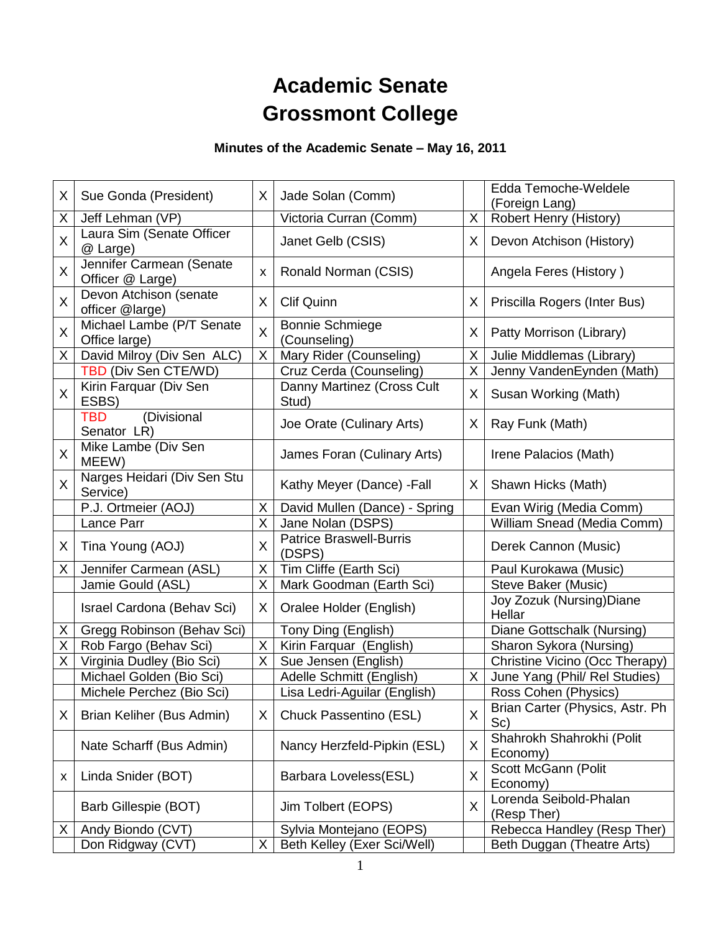# **Academic Senate Grossmont College**

## **Minutes of the Academic Senate – May 16, 2011**

| X.           | Sue Gonda (President)                        | X.             | Jade Solan (Comm)                                      |         | Edda Temoche-Weldele<br>(Foreign Lang)                    |
|--------------|----------------------------------------------|----------------|--------------------------------------------------------|---------|-----------------------------------------------------------|
| X            | Jeff Lehman (VP)                             |                | Victoria Curran (Comm)                                 | X       | Robert Henry (History)                                    |
| X            | Laura Sim (Senate Officer<br>@ Large)        |                | Janet Gelb (CSIS)                                      | X       | Devon Atchison (History)                                  |
| X            | Jennifer Carmean (Senate<br>Officer @ Large) | X              | Ronald Norman (CSIS)                                   |         | Angela Feres (History)                                    |
| X            | Devon Atchison (senate<br>officer @large)    | X              | <b>Clif Quinn</b>                                      | X       | Priscilla Rogers (Inter Bus)                              |
| X            | Michael Lambe (P/T Senate<br>Office large)   | $\overline{X}$ | <b>Bonnie Schmiege</b><br>(Counseling)                 | X       | Patty Morrison (Library)                                  |
| Χ            | David Milroy (Div Sen ALC)                   | X              | Mary Rider (Counseling)                                | X       | Julie Middlemas (Library)                                 |
|              | TBD (Div Sen CTE/WD)                         |                | Cruz Cerda (Counseling)                                | X       | Jenny VandenEynden (Math)                                 |
| X            | Kirin Farquar (Div Sen<br>ESBS)              |                | Danny Martinez (Cross Cult<br>Stud)                    | X       | Susan Working (Math)                                      |
|              | (Divisional<br><b>TBD</b><br>Senator LR)     |                | Joe Orate (Culinary Arts)                              | X.      | Ray Funk (Math)                                           |
| X            | Mike Lambe (Div Sen<br>MEEW)                 |                | James Foran (Culinary Arts)                            |         | Irene Palacios (Math)                                     |
| $\mathsf{X}$ | Narges Heidari (Div Sen Stu<br>Service)      |                | Kathy Meyer (Dance) - Fall                             | $X_{-}$ | Shawn Hicks (Math)                                        |
|              | P.J. Ortmeier (AOJ)                          | X              | David Mullen (Dance) - Spring                          |         | Evan Wirig (Media Comm)                                   |
|              | Lance Parr                                   | Χ              | Jane Nolan (DSPS)                                      |         | William Snead (Media Comm)                                |
| X            | Tina Young (AOJ)                             | X              | <b>Patrice Braswell-Burris</b><br>(DSPS)               |         | Derek Cannon (Music)                                      |
| X            | Jennifer Carmean (ASL)                       | X              | Tim Cliffe (Earth Sci)                                 |         | Paul Kurokawa (Music)                                     |
|              | Jamie Gould (ASL)                            | X              | Mark Goodman (Earth Sci)                               |         | Steve Baker (Music)                                       |
|              | Israel Cardona (Behav Sci)                   | X.             | Oralee Holder (English)                                |         | Joy Zozuk (Nursing) Diane<br>Hellar                       |
| Χ            | Gregg Robinson (Behav Sci)                   |                | Tony Ding (English)                                    |         | Diane Gottschalk (Nursing)                                |
| X            | Rob Fargo (Behav Sci)                        | X              | Kirin Farquar (English)                                |         | Sharon Sykora (Nursing)                                   |
| Χ            | Virginia Dudley (Bio Sci)                    | X.             | Sue Jensen (English)                                   |         | Christine Vicino (Occ Therapy)                            |
|              | Michael Golden (Bio Sci)                     |                | Adelle Schmitt (English)                               | X       | June Yang (Phil/ Rel Studies)                             |
|              |                                              |                |                                                        |         |                                                           |
|              | Michele Perchez (Bio Sci)                    |                |                                                        |         | Ross Cohen (Physics)                                      |
| Χ            | Brian Keliher (Bus Admin)                    | X              | Lisa Ledri-Aguilar (English)<br>Chuck Passentino (ESL) | X       | Brian Carter (Physics, Astr. Ph<br>Sc)                    |
|              | Nate Scharff (Bus Admin)                     |                | Nancy Herzfeld-Pipkin (ESL)                            | X       | Shahrokh Shahrokhi (Polit<br>Economy)                     |
| х            | Linda Snider (BOT)                           |                | Barbara Loveless(ESL)                                  | X       | Scott McGann (Polit<br>Economy)                           |
|              | Barb Gillespie (BOT)                         |                | Jim Tolbert (EOPS)                                     | X       | Lorenda Seibold-Phalan<br>(Resp Ther)                     |
| Χ            | Andy Biondo (CVT)<br>Don Ridgway (CVT)       | X              | Sylvia Montejano (EOPS)<br>Beth Kelley (Exer Sci/Well) |         | Rebecca Handley (Resp Ther)<br>Beth Duggan (Theatre Arts) |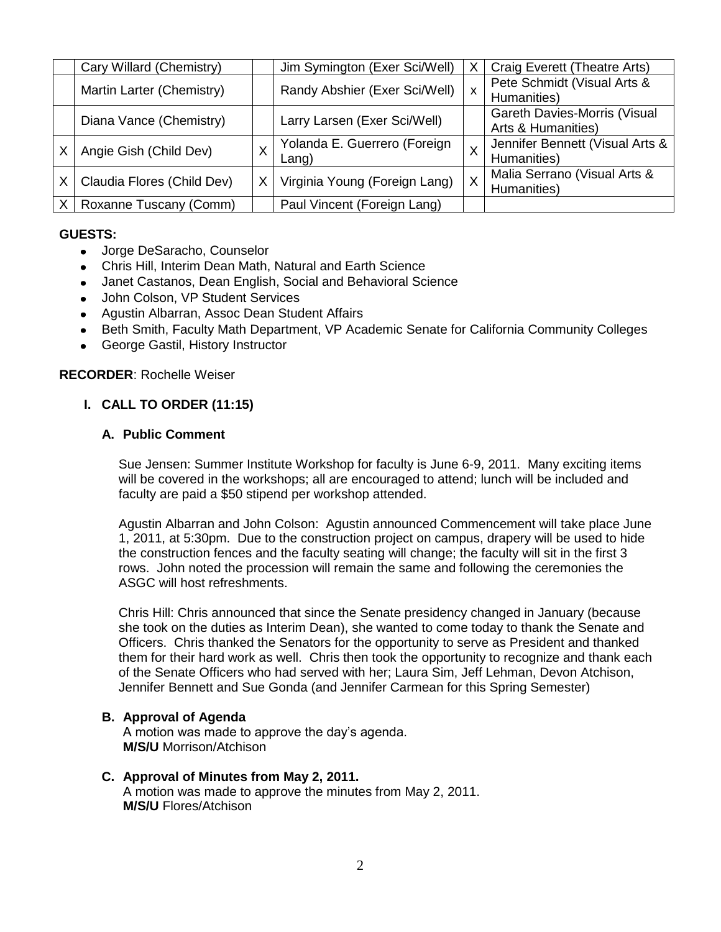|   | Cary Willard (Chemistry)   |    | Jim Symington (Exer Sci/Well)            | X            | Craig Everett (Theatre Arts)                       |
|---|----------------------------|----|------------------------------------------|--------------|----------------------------------------------------|
|   | Martin Larter (Chemistry)  |    | Randy Abshier (Exer Sci/Well)            | $\mathsf{x}$ | Pete Schmidt (Visual Arts &<br>Humanities)         |
|   | Diana Vance (Chemistry)    |    | Larry Larsen (Exer Sci/Well)             |              | Gareth Davies-Morris (Visual<br>Arts & Humanities) |
|   | Angie Gish (Child Dev)     | Χ  | Yolanda E. Guerrero (Foreign<br>$L$ ang) |              | Jennifer Bennett (Visual Arts &<br>Humanities)     |
| X | Claudia Flores (Child Dev) | X. | Virginia Young (Foreign Lang)            | X            | Malia Serrano (Visual Arts &<br>Humanities)        |
|   | Roxanne Tuscany (Comm)     |    | Paul Vincent (Foreign Lang)              |              |                                                    |

#### **GUESTS:**

- Jorge DeSaracho, Counselor
- Chris Hill, Interim Dean Math, Natural and Earth Science
- Janet Castanos, Dean English, Social and Behavioral Science
- John Colson, VP Student Services
- Agustin Albarran, Assoc Dean Student Affairs
- Beth Smith, Faculty Math Department, VP Academic Senate for California Community Colleges  $\bullet$
- George Gastil, History Instructor

#### **RECORDER**: Rochelle Weiser

## **I. CALL TO ORDER (11:15)**

## **A. Public Comment**

Sue Jensen: Summer Institute Workshop for faculty is June 6-9, 2011. Many exciting items will be covered in the workshops; all are encouraged to attend; lunch will be included and faculty are paid a \$50 stipend per workshop attended.

Agustin Albarran and John Colson: Agustin announced Commencement will take place June 1, 2011, at 5:30pm. Due to the construction project on campus, drapery will be used to hide the construction fences and the faculty seating will change; the faculty will sit in the first 3 rows. John noted the procession will remain the same and following the ceremonies the ASGC will host refreshments.

Chris Hill: Chris announced that since the Senate presidency changed in January (because she took on the duties as Interim Dean), she wanted to come today to thank the Senate and Officers. Chris thanked the Senators for the opportunity to serve as President and thanked them for their hard work as well. Chris then took the opportunity to recognize and thank each of the Senate Officers who had served with her; Laura Sim, Jeff Lehman, Devon Atchison, Jennifer Bennett and Sue Gonda (and Jennifer Carmean for this Spring Semester)

#### **B. Approval of Agenda**

A motion was made to approve the day's agenda. **M/S/U** Morrison/Atchison

#### **C. Approval of Minutes from May 2, 2011.** A motion was made to approve the minutes from May 2, 2011. **M/S/U** Flores/Atchison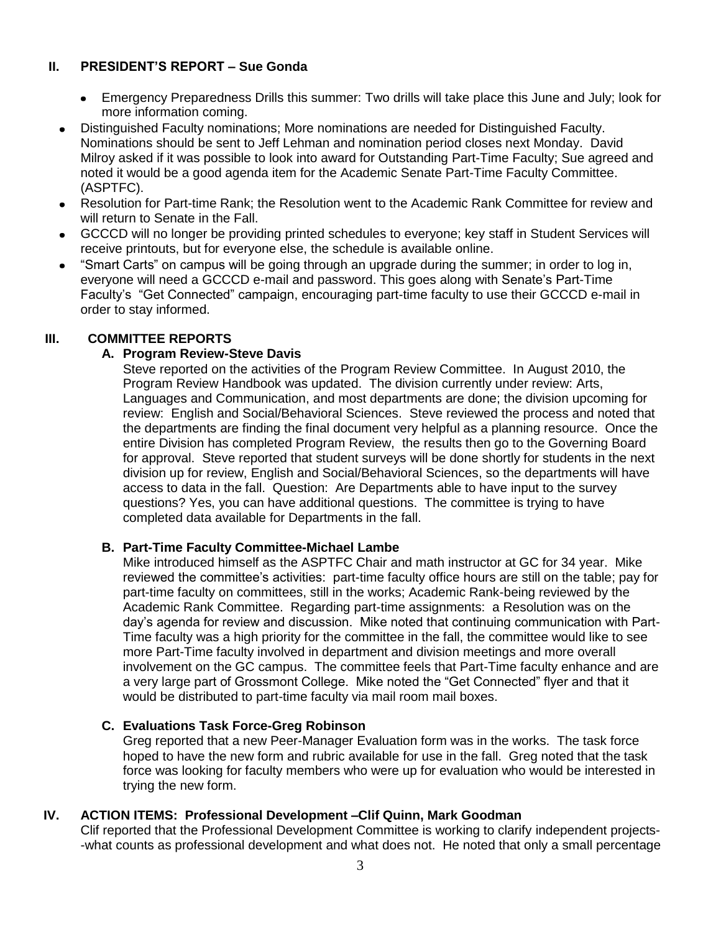#### **II. PRESIDENT'S REPORT – Sue Gonda**

- $\bullet$ Emergency Preparedness Drills this summer: Two drills will take place this June and July; look for more information coming.
- Distinguished Faculty nominations; More nominations are needed for Distinguished Faculty.  $\bullet$ Nominations should be sent to Jeff Lehman and nomination period closes next Monday. David Milroy asked if it was possible to look into award for Outstanding Part-Time Faculty; Sue agreed and noted it would be a good agenda item for the Academic Senate Part-Time Faculty Committee. (ASPTFC).
- Resolution for Part-time Rank; the Resolution went to the Academic Rank Committee for review and will return to Senate in the Fall.
- GCCCD will no longer be providing printed schedules to everyone; key staff in Student Services will receive printouts, but for everyone else, the schedule is available online.
- "Smart Carts" on campus will be going through an upgrade during the summer; in order to log in, everyone will need a GCCCD e-mail and password. This goes along with Senate's Part-Time Faculty's "Get Connected" campaign, encouraging part-time faculty to use their GCCCD e-mail in order to stay informed.

## **III. COMMITTEE REPORTS**

## **A. Program Review-Steve Davis**

Steve reported on the activities of the Program Review Committee. In August 2010, the Program Review Handbook was updated. The division currently under review: Arts, Languages and Communication, and most departments are done; the division upcoming for review: English and Social/Behavioral Sciences. Steve reviewed the process and noted that the departments are finding the final document very helpful as a planning resource. Once the entire Division has completed Program Review, the results then go to the Governing Board for approval. Steve reported that student surveys will be done shortly for students in the next division up for review, English and Social/Behavioral Sciences, so the departments will have access to data in the fall. Question: Are Departments able to have input to the survey questions? Yes, you can have additional questions. The committee is trying to have completed data available for Departments in the fall.

#### **B. Part-Time Faculty Committee-Michael Lambe**

Mike introduced himself as the ASPTFC Chair and math instructor at GC for 34 year. Mike reviewed the committee's activities: part-time faculty office hours are still on the table; pay for part-time faculty on committees, still in the works; Academic Rank-being reviewed by the Academic Rank Committee. Regarding part-time assignments: a Resolution was on the day's agenda for review and discussion. Mike noted that continuing communication with Part-Time faculty was a high priority for the committee in the fall, the committee would like to see more Part-Time faculty involved in department and division meetings and more overall involvement on the GC campus. The committee feels that Part-Time faculty enhance and are a very large part of Grossmont College. Mike noted the "Get Connected" flyer and that it would be distributed to part-time faculty via mail room mail boxes.

#### **C. Evaluations Task Force-Greg Robinson**

Greg reported that a new Peer-Manager Evaluation form was in the works. The task force hoped to have the new form and rubric available for use in the fall. Greg noted that the task force was looking for faculty members who were up for evaluation who would be interested in trying the new form.

## **IV. ACTION ITEMS: Professional Development –Clif Quinn, Mark Goodman**

Clif reported that the Professional Development Committee is working to clarify independent projects- -what counts as professional development and what does not. He noted that only a small percentage